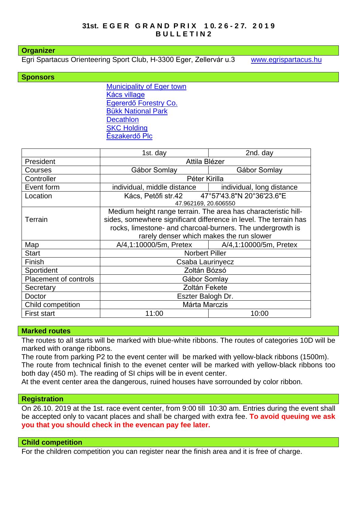#### **Organizer**

Egri Spartacus Orienteering Sport Club, H-3300 Eger, Zellervár u.3 [www.egrispartacus.hu](http://www.egrispartacus.hu/)

#### **Sponsors**

[Municipality of Eger town](http://varos.eger.hu/) [Kács village](http://www.kacs.hu/index.php) [Egererdő Forestry Co.](http://client4.springmedia.hu/) [Bükk National](https://www.bnpi.hu/) Park **Decathlon [SKC Holding](https://skc.hu/)** [Északerdő Plc](http://www.eszakerdo.hu/angol/menu/angol.htm)

|                              | 1st. day                                                                                                                                                                                          | 2nd. day                  |  |  |  |
|------------------------------|---------------------------------------------------------------------------------------------------------------------------------------------------------------------------------------------------|---------------------------|--|--|--|
| President                    | Attila Blézer                                                                                                                                                                                     |                           |  |  |  |
| Courses                      | Gábor Somlay                                                                                                                                                                                      | Gábor Somlay              |  |  |  |
| Controller                   | Péter Kirilla                                                                                                                                                                                     |                           |  |  |  |
| Event form                   | individual, middle distance                                                                                                                                                                       | individual, long distance |  |  |  |
| Location                     | Kács, Petőfi str.42 47°57'43.8"N 20°36'23.6"E                                                                                                                                                     |                           |  |  |  |
|                              | 47.962169, 20.606550                                                                                                                                                                              |                           |  |  |  |
|                              | Medium height range terrain. The area has characteristic hill-<br>sides, somewhere significant difference in level. The terrain has<br>rocks, limestone- and charcoal-burners. The undergrowth is |                           |  |  |  |
| <b>Terrain</b>               |                                                                                                                                                                                                   |                           |  |  |  |
|                              |                                                                                                                                                                                                   |                           |  |  |  |
|                              | rarely denser which makes the run slower                                                                                                                                                          |                           |  |  |  |
| Map                          | A/4,1:10000/5m, Pretex                                                                                                                                                                            | A/4,1:10000/5m, Pretex    |  |  |  |
| <b>Start</b>                 | <b>Norbert Piller</b>                                                                                                                                                                             |                           |  |  |  |
| Finish                       | Csaba Laurinyecz                                                                                                                                                                                  |                           |  |  |  |
| Sportident                   | Zoltán Bózsó                                                                                                                                                                                      |                           |  |  |  |
| <b>Placement of controls</b> | Gábor Somlay                                                                                                                                                                                      |                           |  |  |  |
| Secretary                    | Zoltán Fekete                                                                                                                                                                                     |                           |  |  |  |
| Doctor                       | Eszter Balogh Dr.                                                                                                                                                                                 |                           |  |  |  |
| Child competition            | Márta Marczis                                                                                                                                                                                     |                           |  |  |  |
| <b>First start</b>           | 11:00                                                                                                                                                                                             | 10:00                     |  |  |  |

## **Marked routes**

The routes to all starts will be marked with blue-white ribbons. The routes of categories 10D will be marked with orange ribbons.

The route from parking P2 to the event center will be marked with yellow-black ribbons (1500m). The route from technical finish to the evenet center will be marked with yellow-black ribbons too both day (450 m). The reading of SI chips will be in event center.

At the event center area the dangerous, ruined houses have sorrounded by color ribbon.

#### **Registration**

On 26.10. 2019 at the 1st. race event center, from 9:00 till 10:30 am. Entries during the event shall be accepted only to vacant places and shall be charged with extra fee. **To avoid queuing we ask you that you should check in the evencan pay fee later.**

## **Child competition**

For the children competition you can register near the finish area and it is free of charge.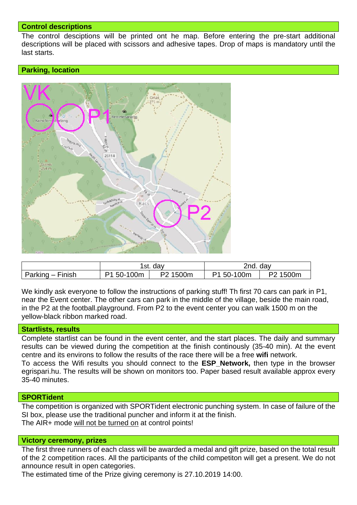## **Control descriptions**

The control desciptions will be printed ont he map. Before entering the pre-start additional descriptions will be placed with scissors and adhesive tapes. Drop of maps is mandatory until the last starts.

# **Parking, location**



|                  | day<br>1st. l  |                         | 2nd. day   |          |
|------------------|----------------|-------------------------|------------|----------|
| Parking – Finish | 50-100m<br>D1. | 1500m<br>P <sub>2</sub> | P1 50-100m | P2 1500m |

We kindly ask everyone to follow the instructions of parking stuff! Th first 70 cars can park in P1, near the Event center. The other cars can park in the middle of the village, beside the main road, in the P2 at the football.playground. From P2 to the event center you can walk 1500 m on the yellow-black ribbon marked road.

## **Startlists, results**

Complete startlist can be found in the event center, and the start places. The daily and summary results can be viewed during the competition at the finish continously (35-40 min). At the event centre and its environs to follow the results of the race there will be a free **wifi** network. To access the Wifi results you should connect to the **ESP\_Network,** then type in the browser egrispari.hu. The results will be shown on monitors too. Paper based result available approx every 35-40 minutes.

## **SPORTident**

The competition is organized with SPORTident electronic punching system. In case of failure of the SI box, please use the traditional puncher and inform it at the finish. The AIR+ mode will not be turned on at control points!

## **Victory ceremony, prizes**

The first three runners of each class will be awarded a medal and gift prize, based on the total result of the 2 competition races. All the participants of the child competiton will get a present. We do not announce result in open categories.

The estimated time of the Prize giving ceremony is 27.10.2019 14:00.